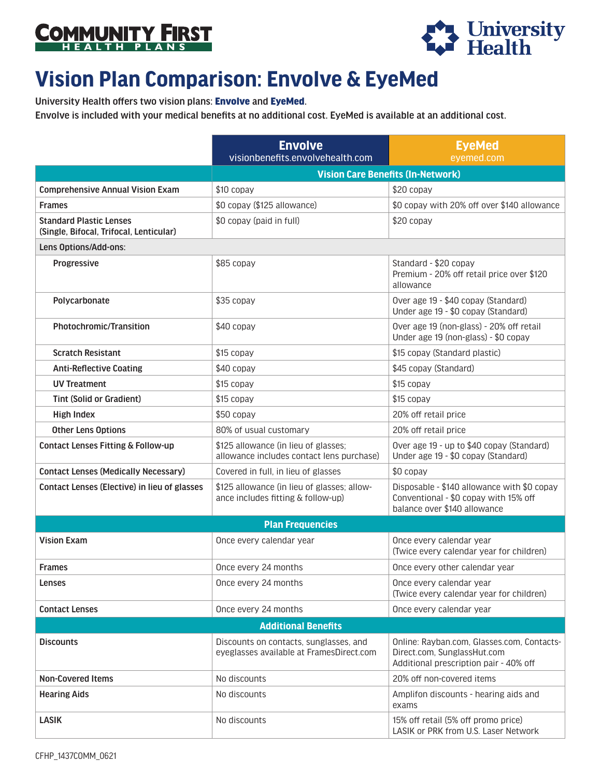



## **Vision Plan Comparison: Envolve & EyeMed**

University Health offers two vision plans: Envolve and EyeMed.

Envolve is included with your medical benefits at no additional cost. EyeMed is available at an additional cost.

|                                                                           | <b>Envolve</b><br>visionbenefits.envolvehealth.com                                 | <b>EyeMed</b><br>eyemed.com                                                                                          |  |
|---------------------------------------------------------------------------|------------------------------------------------------------------------------------|----------------------------------------------------------------------------------------------------------------------|--|
|                                                                           | <b>Vision Care Benefits (In-Network)</b>                                           |                                                                                                                      |  |
| <b>Comprehensive Annual Vision Exam</b>                                   | \$10 copay                                                                         | \$20 copay                                                                                                           |  |
| <b>Frames</b>                                                             | \$0 copay (\$125 allowance)                                                        | \$0 copay with 20% off over \$140 allowance                                                                          |  |
| <b>Standard Plastic Lenses</b><br>(Single, Bifocal, Trifocal, Lenticular) | \$0 copay (paid in full)                                                           | \$20 copay                                                                                                           |  |
| Lens Options/Add-ons:                                                     |                                                                                    |                                                                                                                      |  |
| Progressive                                                               | \$85 copay                                                                         | Standard - \$20 copay<br>Premium - 20% off retail price over \$120<br>allowance                                      |  |
| Polycarbonate                                                             | \$35 copay                                                                         | Over age 19 - \$40 copay (Standard)<br>Under age 19 - \$0 copay (Standard)                                           |  |
| Photochromic/Transition                                                   | \$40 copay                                                                         | Over age 19 (non-glass) - 20% off retail<br>Under age 19 (non-glass) - \$0 copay                                     |  |
| <b>Scratch Resistant</b>                                                  | \$15 copay                                                                         | \$15 copay (Standard plastic)                                                                                        |  |
| <b>Anti-Reflective Coating</b>                                            | \$40 copay                                                                         | \$45 copay (Standard)                                                                                                |  |
| <b>UV Treatment</b>                                                       | \$15 copay                                                                         | \$15 copay                                                                                                           |  |
| <b>Tint (Solid or Gradient)</b>                                           | \$15 copay                                                                         | \$15 copay                                                                                                           |  |
| <b>High Index</b>                                                         | \$50 copay                                                                         | 20% off retail price                                                                                                 |  |
| <b>Other Lens Options</b>                                                 | 80% of usual customary                                                             | 20% off retail price                                                                                                 |  |
| Contact Lenses Fitting & Follow-up                                        | \$125 allowance (in lieu of glasses;<br>allowance includes contact lens purchase)  | Over age 19 - up to \$40 copay (Standard)<br>Under age 19 - \$0 copay (Standard)                                     |  |
| <b>Contact Lenses (Medically Necessary)</b>                               | Covered in full, in lieu of glasses                                                | \$0 copay                                                                                                            |  |
| Contact Lenses (Elective) in lieu of glasses                              | \$125 allowance (in lieu of glasses; allow-<br>ance includes fitting & follow-up)  | Disposable - \$140 allowance with \$0 copay<br>Conventional - \$0 copay with 15% off<br>balance over \$140 allowance |  |
| <b>Plan Frequencies</b>                                                   |                                                                                    |                                                                                                                      |  |
| <b>Vision Exam</b>                                                        | Once every calendar year                                                           | Once every calendar year<br>(Twice every calendar year for children)                                                 |  |
| <b>Frames</b>                                                             | Once every 24 months                                                               | Once every other calendar year                                                                                       |  |
| <b>Lenses</b>                                                             | Once every 24 months                                                               | Once every calendar year<br>(Twice every calendar year for children)                                                 |  |
| <b>Contact Lenses</b>                                                     | Once every 24 months                                                               | Once every calendar year                                                                                             |  |
| <b>Additional Benefits</b>                                                |                                                                                    |                                                                                                                      |  |
| <b>Discounts</b>                                                          | Discounts on contacts, sunglasses, and<br>eyeglasses available at FramesDirect.com | Online: Rayban.com, Glasses.com, Contacts-<br>Direct.com, SunglassHut.com<br>Additional prescription pair - 40% off  |  |
| <b>Non-Covered Items</b>                                                  | No discounts                                                                       | 20% off non-covered items                                                                                            |  |
| <b>Hearing Aids</b>                                                       | No discounts                                                                       | Amplifon discounts - hearing aids and<br>exams                                                                       |  |
| <b>LASIK</b>                                                              | No discounts                                                                       | 15% off retail (5% off promo price)<br>LASIK or PRK from U.S. Laser Network                                          |  |